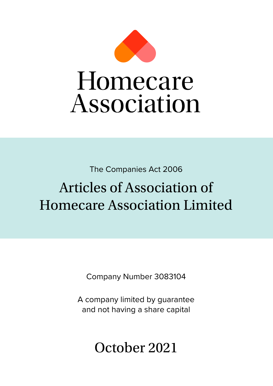

The Companies Act 2006

# Articles of Association of Homecare Association Limited

Company Number 3083104

A company limited by guarantee and not having a share capital

October 2021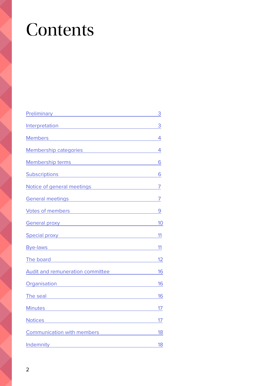# **Contents**

| Preliminary <b>Preliminary Preliminary</b>                                                                                                                                                                                           | 3              |
|--------------------------------------------------------------------------------------------------------------------------------------------------------------------------------------------------------------------------------------|----------------|
| Interpretation and the contract of the contract of the contract of the contract of the contract of the contract of the contract of the contract of the contract of the contract of the contract of the contract of the contrac       | 3              |
| Members and the contract of the contract of the contract of the contract of the contract of the contract of the                                                                                                                      | 4              |
| Membership categories Membership of the state of the state of the state of the state of the state of the state of the state of the state of the state of the state of the state of the state of the state of the state of the        | $\overline{4}$ |
| Membership terms and the control of the control of the control of the control of the control of the control of                                                                                                                       | 6              |
| <u>Subscriptions 6</u>                                                                                                                                                                                                               |                |
| Notice of general meetings Motice Community of the Motice of general meetings                                                                                                                                                        | $\overline{7}$ |
| General meetings <b>Senational Contract Contract Contract Contract Contract Contract Contract Contract Contract Contract Contract Contract Contract Contract Contract Contract Contract Contract Contract Contract Contract Cont</b> | 7              |
| Votes of members <b>Accelerate and Contact Contact Contact Contact Contact Contact Contact Contact Contact Contact Contact Contact Contact Contact Contact Contact Contact Contact Contact Contact Contact Contact Contact Conta</b> | 9              |
| General proxy Seneral Art and The Contract of the Contract of the Contract of the Contract of the Contract of                                                                                                                        | 10             |
| <b>Special proxy Special contract of the set of the set of the set of the set of the set of the set of the set of the set of the set of the set of the set of the set of the set of the set of the set of the set of the set o</b>   | 11             |
| Bye-laws and the state of the state of the state of the state of the state of the state of the state of the state of the state of the state of the state of the state of the state of the state of the state of the state of t       | 11             |
| The board and the state of the state of the state of the state of the state of the state of the state of the state of the state of the state of the state of the state of the state of the state of the state of the state of        | 12             |
| <b>Audit and remuneration committee</b>                                                                                                                                                                                              | 16             |
| Organisation and the contract of the contract of the contract of the contract of the contract of the contract o                                                                                                                      | 16             |
| The seal <b>Expression Contract Contract Contract Contract Contract Contract Contract Contract Contract Contract Contract Contract Contract Contract Contract Contract Contract Contract Contract Contract Contract Contract Con</b> | 16             |
| Minutes Minutes And Allen Communication and Allen Communication and Allen Communication and Allen Communication                                                                                                                      | 17             |
|                                                                                                                                                                                                                                      | 17             |
| <b>Communication with members Communication with members</b>                                                                                                                                                                         | 18             |
| Indemnity                                                                                                                                                                                                                            | 18             |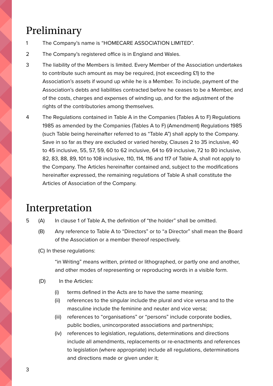## <span id="page-2-0"></span>Preliminary

- 1 The Company's name is "HOMECARE ASSOCIATION LIMITED".
- 2 The Company's registered office is in England and Wales.
- 3 The liability of the Members is limited. Every Member of the Association undertakes to contribute such amount as may be required, (not exceeding £1) to the Association's assets if wound up while he is a Member. To include, payment of the Association's debts and liabilities contracted before he ceases to be a Member, and of the costs, charges and expenses of winding up, and for the adjustment of the rights of the contributories among themselves.
- 4 The Regulations contained in Table A in the Companies (Tables A to F) Regulations 1985 as amended by the Companies (Tables A to F) (Amendment) Regulations 1985 (such Table being hereinafter referred to as "Table A") shall apply to the Company. Save in so far as they are excluded or varied hereby, Clauses 2 to 35 inclusive, 40 to 45 inclusive, 55, 57, 59, 60 to 62 inclusive, 64 to 69 inclusive, 72 to 80 inclusive, 82, 83, 88, 89, 101 to 108 inclusive, 110, 114, 116 and 117 of Table A, shall not apply to the Company. The Articles hereinafter contained and, subject to the modifications hereinafter expressed, the remaining regulations of Table A shall constitute the Articles of Association of the Company.

#### Interpretation

- 5 (A) In clause 1 of Table A, the definition of "the holder" shall be omitted.
	- (B) Any reference to Table A to "Directors" or to "a Director" shall mean the Board of the Association or a member thereof respectively.
	- (C) In these regulations:

"in Writing" means written, printed or lithographed, or partly one and another, and other modes of representing or reproducing words in a visible form.

- (D) In the Articles:
	- (i) terms defined in the Acts are to have the same meaning;
	- (ii) references to the singular include the plural and vice versa and to the masculine include the feminine and neuter and vice versa;
	- (iii) references to "organisations" or "persons" include corporate bodies, public bodies, unincorporated associations and partnerships;
	- (iv) references to legislation, regulations, determinations and directions include all amendments, replacements or re-enactments and references to legislation (where appropriate) include all regulations, determinations and directions made or given under it;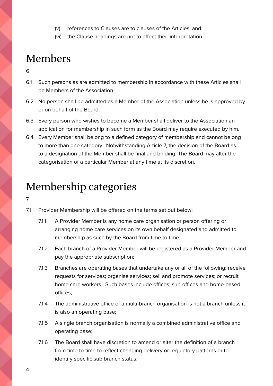- (v) references to Clauses are to clauses of the Articles; and
- (vi) the Clause headings are not to affect their interpretation.

#### <span id="page-3-0"></span>Members

- 6
- 6.1 Such persons as are admitted to membership in accordance with these Articles shall be Members of the Association.
- 6.2 No person shall be admitted as a Member of the Association unless he is approved by or on behalf of the Board.
- 6.3 Every person who wishes to become a Member shall deliver to the Association an application for membership in such form as the Board may require executed by him.
- 6.4 Every Member shall belong to a defined category of membership and cannot belong to more than one category. Notwithstanding Article 7, the decision of the Board as to a designation of the Member shall be final and binding. The Board may alter the categorisation of a particular Member at any time at its discretion.

#### Membership categories

- 7
- 7.1 Provider Membership will be offered on the terms set out below:
	- 7.1.1 A Provider Member is any home care organisation or person offering or arranging home care services on its own behalf designated and admitted to membership as such by the Board from time to time;
	- 7.1.2 Each branch of a Provider Member will be registered as a Provider Member and pay the appropriate subscription;
	- 7.1.3 Branches are operating bases that undertake any or all of the following: receive requests for services; organise services; sell and promote services; or recruit home care workers. Such bases include offices, sub-offices and home-based offices;
	- 7.1.4 The administrative office of a multi-branch organisation is not a branch unless it is also an operating base;
	- 7.1.5 A single branch organisation is normally a combined administrative office and operating base;
	- 7.1.6 The Board shall have discretion to amend or alter the definition of a branch from time to time to reflect changing delivery or regulatory patterns or to identify specific sub branch status;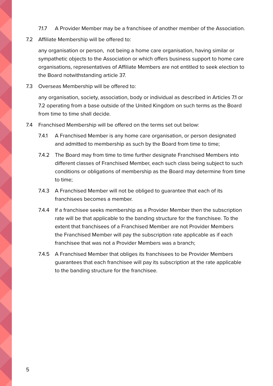- 7.1.7 A Provider Member may be a franchisee of another member of the Association.
- 7.2 Affiliate Membership will be offered to:

any organisation or person, not being a home care organisation, having similar or sympathetic objects to the Association or which offers business support to home care organisations, representatives of Affiliate Members are not entitled to seek election to the Board notwithstanding article 37.

7.3 Overseas Membership will be offered to:

any organisation, society, association, body or individual as described in Articles 7.1 or 7.2 operating from a base outside of the United Kingdom on such terms as the Board from time to time shall decide.

- 7.4 Franchised Membership will be offered on the terms set out below:
	- 7.4.1 A Franchised Member is any home care organisation, or person designated and admitted to membership as such by the Board from time to time;
	- 7.4.2 The Board may from time to time further designate Franchised Members into different classes of Franchised Member, each such class being subject to such conditions or obligations of membership as the Board may determine from time to time;
	- 7.4.3 A Franchised Member will not be obliged to guarantee that each of its franchisees becomes a member.
	- 7.4.4 If a franchisee seeks membership as a Provider Member then the subscription rate will be that applicable to the banding structure for the franchisee. To the extent that franchisees of a Franchised Member are not Provider Members the Franchised Member will pay the subscription rate applicable as if each franchisee that was not a Provider Members was a branch;
	- 7.4.5 A Franchised Member that obliges its franchisees to be Provider Members guarantees that each franchisee will pay its subscription at the rate applicable to the banding structure for the franchisee.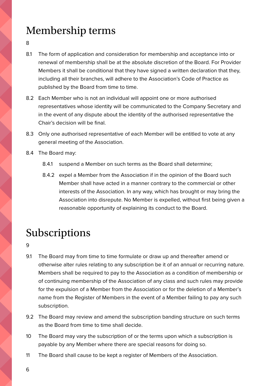# <span id="page-5-0"></span>Membership terms

8

- 8.1 The form of application and consideration for membership and acceptance into or renewal of membership shall be at the absolute discretion of the Board. For Provider Members it shall be conditional that they have signed a written declaration that they, including all their branches, will adhere to the Association's Code of Practice as published by the Board from time to time.
- 8.2 Each Member who is not an individual will appoint one or more authorised representatives whose identity will be communicated to the Company Secretary and in the event of any dispute about the identity of the authorised representative the Chair's decision will be final.
- 8.3 Only one authorised representative of each Member will be entitled to vote at any general meeting of the Association.
- 8.4 The Board may:
	- 8.4.1 suspend a Member on such terms as the Board shall determine;
	- 8.4.2 expel a Member from the Association if in the opinion of the Board such Member shall have acted in a manner contrary to the commercial or other interests of the Association. In any way, which has brought or may bring the Association into disrepute. No Member is expelled, without first being given a reasonable opportunity of explaining its conduct to the Board.

# Subscriptions

9

- 9.1 The Board may from time to time formulate or draw up and thereafter amend or otherwise alter rules relating to any subscription be it of an annual or recurring nature. Members shall be required to pay to the Association as a condition of membership or of continuing membership of the Association of any class and such rules may provide for the expulsion of a Member from the Association or for the deletion of a Member's name from the Register of Members in the event of a Member failing to pay any such subscription.
- 9.2 The Board may review and amend the subscription banding structure on such terms as the Board from time to time shall decide.
- 10 The Board may vary the subscription of or the terms upon which a subscription is payable by any Member where there are special reasons for doing so.
- 11 The Board shall cause to be kept a register of Members of the Association.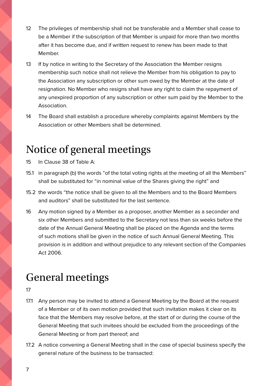- <span id="page-6-0"></span>12 The privileges of membership shall not be transferable and a Member shall cease to be a Member if the subscription of that Member is unpaid for more than two months after it has become due, and if written request to renew has been made to that Member.
- 13 If by notice in writing to the Secretary of the Association the Member resigns membership such notice shall not relieve the Member from his obligation to pay to the Association any subscription or other sum owed by the Member at the date of resignation. No Member who resigns shall have any right to claim the repayment of any unexpired proportion of any subscription or other sum paid by the Member to the Association.
- 14 The Board shall establish a procedure whereby complaints against Members by the Association or other Members shall be determined.

## Notice of general meetings

- 15 In Clause 38 of Table A:
- 15.1 in paragraph (b) the words "of the total voting rights at the meeting of all the Members" shall be substituted for "in nominal value of the Shares giving the right" and
- 15.2 the words "the notice shall be given to all the Members and to the Board Members and auditors" shall be substituted for the last sentence.
- 16 Any motion signed by a Member as a proposer, another Member as a seconder and six other Members and submitted to the Secretary not less than six weeks before the date of the Annual General Meeting shall be placed on the Agenda and the terms of such motions shall be given in the notice of such Annual General Meeting. This provision is in addition and without prejudice to any relevant section of the Companies Act 2006.

#### General meetings

- 17
- 17.1 Any person may be invited to attend a General Meeting by the Board at the request of a Member or of its own motion provided that such invitation makes it clear on its face that the Members may resolve before, at the start of or during the course of the General Meeting that such invitees should be excluded from the proceedings of the General Meeting or from part thereof; and
- 17.2 A notice convening a General Meeting shall in the case of special business specify the general nature of the business to be transacted: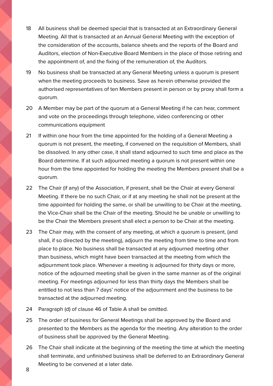- 18 All business shall be deemed special that is transacted at an Extraordinary General Meeting. All that is transacted at an Annual General Meeting with the exception of the consideration of the accounts, balance sheets and the reports of the Board and Auditors, election of Non-Executive Board Members in the place of those retiring and the appointment of, and the fixing of the remuneration of, the Auditors.
- 19 No business shall be transacted at any General Meeting unless a quorum is present when the meeting proceeds to business. Save as herein otherwise provided the authorised representatives of ten Members present in person or by proxy shall form a quorum.
- 20 A Member may be part of the quorum at a General Meeting if he can hear, comment and vote on the proceedings through telephone, video conferencing or other communications equipment
- 21 If within one hour from the time appointed for the holding of a General Meeting a quorum is not present, the meeting, if convened on the requisition of Members, shall be dissolved. In any other case, it shall stand adjourned to such time and place as the Board determine. If at such adjourned meeting a quorum is not present within one hour from the time appointed for holding the meeting the Members present shall be a quorum.
- 22 The Chair (if any) of the Association, if present, shall be the Chair at every General Meeting. If there be no such Chair, or if at any meeting he shall not be present at the time appointed for holding the same, or shall be unwilling to be Chair at the meeting, the Vice-Chair shall be the Chair of the meeting. Should he be unable or unwilling to be the Chair the Members present shall elect a person to be Chair at the meeting.
- 23 The Chair may, with the consent of any meeting, at which a quorum is present, (and shall, if so directed by the meeting), adjourn the meeting from time to time and from place to place. No business shall be transacted at any adjourned meeting other than business, which might have been transacted at the meeting from which the adjournment took place. Whenever a meeting is adjourned for thirty days or more, notice of the adjourned meeting shall be given in the same manner as of the original meeting. For meetings adjourned for less than thirty days the Members shall be entitled to not less than 7 days' notice of the adjournment and the business to be transacted at the adjourned meeting.
- 24 Paragraph (d) of clause 46 of Table A shall be omitted.
- 25 The order of business for General Meetings shall be approved by the Board and presented to the Members as the agenda for the meeting. Any alteration to the order of business shall be approved by the General Meeting.
- 26 The Chair shall indicate at the beginning of the meeting the time at which the meeting shall terminate, and unfinished business shall be deferred to an Extraordinary General Meeting to be convened at a later date.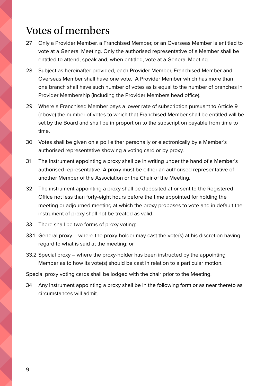#### <span id="page-8-0"></span>Votes of members

- 27 Only a Provider Member, a Franchised Member, or an Overseas Member is entitled to vote at a General Meeting. Only the authorised representative of a Member shall be entitled to attend, speak and, when entitled, vote at a General Meeting.
- 28 Subject as hereinafter provided, each Provider Member, Franchised Member and Overseas Member shall have one vote. A Provider Member which has more than one branch shall have such number of votes as is equal to the number of branches in Provider Membership (including the Provider Members head office).
- 29 Where a Franchised Member pays a lower rate of subscription pursuant to Article 9 (above) the number of votes to which that Franchised Member shall be entitled will be set by the Board and shall be in proportion to the subscription payable from time to time.
- 30 Votes shall be given on a poll either personally or electronically by a Member's authorised representative showing a voting card or by proxy.
- 31 The instrument appointing a proxy shall be in writing under the hand of a Member's authorised representative. A proxy must be either an authorised representative of another Member of the Association or the Chair of the Meeting.
- 32 The instrument appointing a proxy shall be deposited at or sent to the Registered Office not less than forty-eight hours before the time appointed for holding the meeting or adjourned meeting at which the proxy proposes to vote and in default the instrument of proxy shall not be treated as valid.
- 33 There shall be two forms of proxy voting:
- 33.1 General proxy where the proxy-holder may cast the vote(s) at his discretion having regard to what is said at the meeting; or
- 33.2 Special proxy where the proxy-holder has been instructed by the appointing Member as to how its vote(s) should be cast in relation to a particular motion.

Special proxy voting cards shall be lodged with the chair prior to the Meeting.

34 Any instrument appointing a proxy shall be in the following form or as near thereto as circumstances will admit.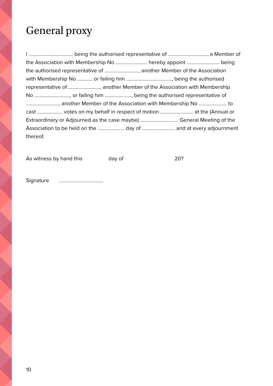## <span id="page-9-0"></span>General proxy

I …………………………….. being the authorised representative of …………………………., a Member of the Association with Membership No ……………………. hereby appoint …………………….. being the authorised representative of ………………………, another Member of the Association with Membership No ………… or failing him ………………………………, being the authorised representative of ……………………., another Member of the Association with Membership No ………………………., or failing him …………………, being the authorised representative of …………………….., another Member of the Association with Membership No …………………. to cast ……………….. votes on my behalf in respect of motion …………………….. at the (Annual or Extraordinary or Adjourned as the case maybe) ………………………… General Meeting of the Association to be held on the ………………… day of …………………….. and at every adjournment thereof.

As witness by hand this day of 20?

Signature ……………………………..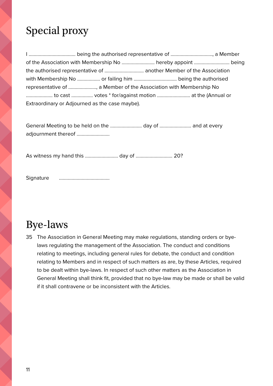# <span id="page-10-0"></span>Special proxy

I ………………………………. being the authorised representative of ……………………………, a Member of the Association with Membership No …………………….. hereby appoint ………………………. being the authorised representative of …………………………. another Member of the Association with Membership No ……………… or failing him ……………………………. being the authorised representative of …………………., a Member of the Association with Membership No ………………… to cast …………….. votes \* for/against motion …………………….. at the (Annual or Extraordinary or Adjourned as the case maybe).

General Meeting to be held on the ……………………. day of ……………………. and at every adjournment thereof ……………………..

As witness my hand this …………………….. day of ……………………….. 20?

Signature ………………………………….

#### Bye-laws

35 The Association in General Meeting may make regulations, standing orders or byelaws regulating the management of the Association. The conduct and conditions relating to meetings, including general rules for debate, the conduct and condition relating to Members and in respect of such matters as are, by these Articles, required to be dealt within bye-laws. In respect of such other matters as the Association in General Meeting shall think fit, provided that no bye-law may be made or shall be valid if it shall contravene or be inconsistent with the Articles.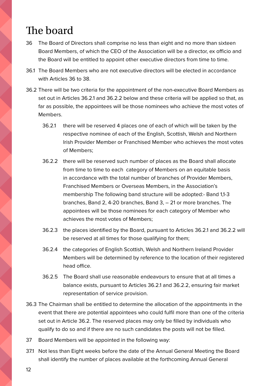### <span id="page-11-0"></span>The board

- 36 The Board of Directors shall comprise no less than eight and no more than sixteen Board Members, of which the CEO of the Association will be a director, ex officio and the Board will be entitled to appoint other executive directors from time to time.
- 36.1 The Board Members who are not executive directors will be elected in accordance with Articles 36 to 38.
- 36.2 There will be two criteria for the appointment of the non-executive Board Members as set out in Articles 36.2.1 and 36.2.2 below and these criteria will be applied so that, as far as possible, the appointees will be those nominees who achieve the most votes of Members.
	- 36.2.1 there will be reserved 4 places one of each of which will be taken by the respective nominee of each of the English, Scottish, Welsh and Northern Irish Provider Member or Franchised Member who achieves the most votes of Members;
	- 36.2.2 there will be reserved such number of places as the Board shall allocate from time to time to each category of Members on an equitable basis in accordance with the total number of branches of Provider Members, Franchised Members or Overseas Members, in the Association's membership The following band structure will be adopted:- Band 1,1-3 branches, Band 2, 4-20 branches, Band 3, – 21 or more branches. The appointees will be those nominees for each category of Member who achieves the most votes of Members;
	- 36.2.3 the places identified by the Board, pursuant to Articles 36.2.1 and 36.2.2 will be reserved at all times for those qualifying for them;
	- 36.2.4 the categories of English Scottish, Welsh and Northern Ireland Provider Members will be determined by reference to the location of their registered head office.
	- 36.2.5 The Board shall use reasonable endeavours to ensure that at all times a balance exists, pursuant to Articles 36.2.1 and 36.2.2, ensuring fair market representation of service provision.
- 36.3 The Chairman shall be entitled to determine the allocation of the appointments in the event that there are potential appointees who could fulfil more than one of the criteria set out in Article 36.2. The reserved places may only be filled by individuals who qualify to do so and if there are no such candidates the posts will not be filled.
- 37 Board Members will be appointed in the following way:
- 37.1 Not less than Eight weeks before the date of the Annual General Meeting the Board shall identify the number of places available at the forthcoming Annual General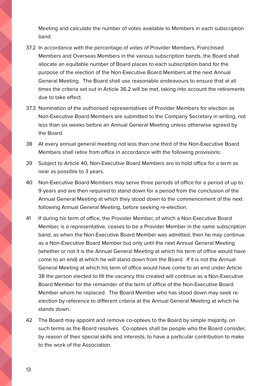Meeting and calculate the number of votes available to Members in each subscription band.

- 37.2 In accordance with the percentage of votes of Provider Members, Franchised Members and Overseas Members in the various subscription bands, the Board shall allocate an equitable number of Board places to each subscription band for the purpose of the election of the Non-Executive Board Members at the next Annual General Meeting. The Board shall use reasonable endeavours to ensure that at all times the criteria set out in Article 36.2 will be met, taking into account the retirements due to take effect.
- 37.3 Nomination of the authorised representatives of Provider Members for election as Non-Executive Board Members are submitted to the Company Secretary in writing, not less than six weeks before an Annual General Meeting unless otherwise agreed by the Board.
- 38 At every annual general meeting not less than one third of the Non-Executive Board Members shall retire from office in accordance with the following provisions:
- 39 Subject to Article 40, Non-Executive Board Members are to hold office for a term as near as possible to 3 years.
- 40 Non-Executive Board Members may serve three periods of office for a period of up to 9 years and are then required to stand down for a period from the conclusion of the Annual General Meeting at which they stood down to the commencement of the next following Annual General Meeting, before seeking re-election.
- 41 If during his term of office, the Provider Member, of which a Non-Executive Board Member, is a representative, ceases to be a Provider Member in the same subscription band, as when the Non-Executive Board Member was admitted, then he may continue as a Non-Executive Board Member but only until the next Annual General Meeting (whether or not it is the Annual General Meeting at which his term of office would have come to an end) at which he will stand down from the Board. If it is not the Annual General Meeting at which his term of office would have come to an end under Article 38 the person elected to fill the vacancy this created will continue as a Non-Executive Board Member for the remainder of the term of office of the Non-Executive Board Member whom he replaced. The Board Member who has stood down may seek reelection by reference to different criteria at the Annual General Meeting at which he stands down.
- 42 The Board may appoint and remove co-optees to the Board by simple majority, on such terms as the Board resolves. Co-optees shall be people who the Board consider, by reason of their special skills and interests, to have a particular contribution to make to the work of the Association.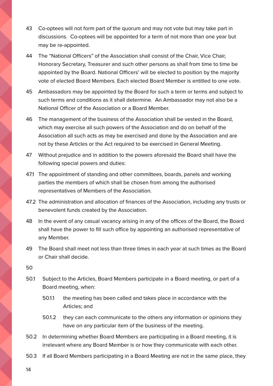- 43 Co-optees will not form part of the quorum and may not vote but may take part in discussions. Co-optees will be appointed for a term of not more than one year but may be re-appointed.
- 44 The "National Officers" of the Association shall consist of the Chair, Vice Chair, Honorary Secretary, Treasurer and such other persons as shall from time to time be appointed by the Board. National Officers' will be elected to position by the majority vote of elected Board Members. Each elected Board Member is entitled to one vote.
- 45 Ambassadors may be appointed by the Board for such a term or terms and subject to such terms and conditions as it shall determine. An Ambassador may not also be a National Officer of the Association or a Board Member.
- 46 The management of the business of the Association shall be vested in the Board, which may exercise all such powers of the Association and do on behalf of the Association all such acts as may be exercised and done by the Association and are not by these Articles or the Act required to be exercised in General Meeting.
- 47 Without prejudice and in addition to the powers aforesaid the Board shall have the following special powers and duties:
- 47.1 The appointment of standing and other committees, boards, panels and working parties the members of which shall be chosen from among the authorised representatives of Members of the Association.
- 47.2 The administration and allocation of finances of the Association, including any trusts or benevolent funds created by the Association.
- 48 In the event of any casual vacancy arising in any of the offices of the Board, the Board shall have the power to fill such office by appointing an authorised representative of any Member.
- 49 The Board shall meet not less than three times in each year at such times as the Board or Chair shall decide.
- 50
- 50.1 Subject to the Articles, Board Members participate in a Board meeting, or part of a Board meeting, when:
	- 50.1.1 the meeting has been called and takes place in accordance with the Articles; and
	- 50.1.2 they can each communicate to the others any information or opinions they have on any particular item of the business of the meeting.
- 50.2 In determining whether Board Members are participating in a Board meeting, it is irrelevant where any Board Member is or how they communicate with each other.
- 50.3 If all Board Members participating in a Board Meeting are not in the same place, they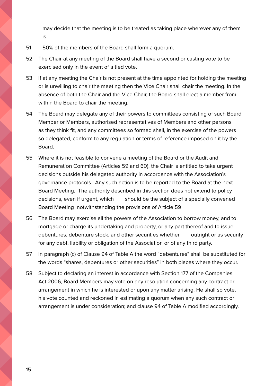may decide that the meeting is to be treated as taking place wherever any of them is.

- 51 50% of the members of the Board shall form a quorum.
- 52 The Chair at any meeting of the Board shall have a second or casting vote to be exercised only in the event of a tied vote.
- 53 If at any meeting the Chair is not present at the time appointed for holding the meeting or is unwilling to chair the meeting then the Vice Chair shall chair the meeting. In the absence of both the Chair and the Vice Chair, the Board shall elect a member from within the Board to chair the meeting.
- 54 The Board may delegate any of their powers to committees consisting of such Board Member or Members, authorised representatives of Members and other persons as they think fit, and any committees so formed shall, in the exercise of the powers so delegated, conform to any regulation or terms of reference imposed on it by the Board.
- 55 Where it is not feasible to convene a meeting of the Board or the Audit and Remuneration Committee (Articles 59 and 60), the Chair is entitled to take urgent decisions outside his delegated authority in accordance with the Association's governance protocols. Any such action is to be reported to the Board at the next Board Meeting. The authority described in this section does not extend to policy decisions, even if urgent, which should be the subject of a specially convened Board Meeting notwithstanding the provisions of Article 59
- 56 The Board may exercise all the powers of the Association to borrow money, and to mortgage or charge its undertaking and property, or any part thereof and to issue debentures, debenture stock, and other securities whether outright or as security for any debt, liability or obligation of the Association or of any third party.
- 57 In paragraph (c) of Clause 94 of Table A the word "debentures" shall be substituted for the words "shares, debentures or other securities" in both places where they occur.
- 58 Subject to declaring an interest in accordance with Section 177 of the Companies Act 2006, Board Members may vote on any resolution concerning any contract or arrangement in which he is interested or upon any matter arising. He shall so vote, his vote counted and reckoned in estimating a quorum when any such contract or arrangement is under consideration; and clause 94 of Table A modified accordingly.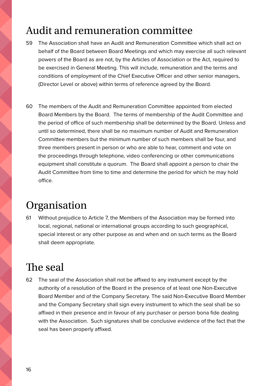## <span id="page-15-0"></span>Audit and remuneration committee

- 59 The Association shall have an Audit and Remuneration Committee which shall act on behalf of the Board between Board Meetings and which may exercise all such relevant powers of the Board as are not, by the Articles of Association or the Act, required to be exercised in General Meeting. This will include, remuneration and the terms and conditions of employment of the Chief Executive Officer and other senior managers, (Director Level or above) within terms of reference agreed by the Board.
- 60 The members of the Audit and Remuneration Committee appointed from elected Board Members by the Board. The terms of membership of the Audit Committee and the period of office of such membership shall be determined by the Board. Unless and until so determined, there shall be no maximum number of Audit and Remuneration Committee members but the minimum number of such members shall be four, and three members present in person or who are able to hear, comment and vote on the proceedings through telephone, video conferencing or other communications equipment shall constitute a quorum. The Board shall appoint a person to chair the Audit Committee from time to time and determine the period for which he may hold office.

#### Organisation

61 Without prejudice to Article 7, the Members of the Association may be formed into local, regional, national or international groups according to such geographical, special interest or any other purpose as and when and on such terms as the Board shall deem appropriate.

#### The seal

62 The seal of the Association shall not be affixed to any instrument except by the authority of a resolution of the Board in the presence of at least one Non-Executive Board Member and of the Company Secretary. The said Non-Executive Board Member and the Company Secretary shall sign every instrument to which the seal shall be so affixed in their presence and in favour of any purchaser or person bona fide dealing with the Association. Such signatures shall be conclusive evidence of the fact that the seal has been properly affixed.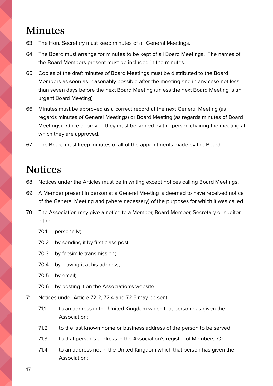#### <span id="page-16-0"></span>Minutes

- 63 The Hon. Secretary must keep minutes of all General Meetings.
- 64 The Board must arrange for minutes to be kept of all Board Meetings. The names of the Board Members present must be included in the minutes.
- 65 Copies of the draft minutes of Board Meetings must be distributed to the Board Members as soon as reasonably possible after the meeting and in any case not less than seven days before the next Board Meeting (unless the next Board Meeting is an urgent Board Meeting).
- 66 Minutes must be approved as a correct record at the next General Meeting (as regards minutes of General Meetings) or Board Meeting (as regards minutes of Board Meetings). Once approved they must be signed by the person chairing the meeting at which they are approved.
- 67 The Board must keep minutes of all of the appointments made by the Board.

#### **Notices**

- 68 Notices under the Articles must be in writing except notices calling Board Meetings.
- 69 A Member present in person at a General Meeting is deemed to have received notice of the General Meeting and (where necessary) of the purposes for which it was called.
- 70 The Association may give a notice to a Member, Board Member, Secretary or auditor either:
	- 70.1 personally;
	- 70.2 by sending it by first class post;
	- 70.3 by facsimile transmission;
	- 70.4 by leaving it at his address;
	- 70.5 by email;
	- 70.6 by posting it on the Association's website.
- 71 Notices under Article 72.2, 72.4 and 72.5 may be sent:
	- 71.1 to an address in the United Kingdom which that person has given the Association;
	- 71.2 to the last known home or business address of the person to be served;
	- 71.3 to that person's address in the Association's register of Members. Or
	- 71.4 to an address not in the United Kingdom which that person has given the Association;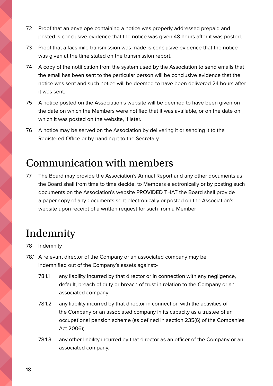- <span id="page-17-0"></span>72 Proof that an envelope containing a notice was properly addressed prepaid and posted is conclusive evidence that the notice was given 48 hours after it was posted.
- 73 Proof that a facsimile transmission was made is conclusive evidence that the notice was given at the time stated on the transmission report.
- 74 A copy of the notification from the system used by the Association to send emails that the email has been sent to the particular person will be conclusive evidence that the notice was sent and such notice will be deemed to have been delivered 24 hours after it was sent.
- 75 A notice posted on the Association's website will be deemed to have been given on the date on which the Members were notified that it was available, or on the date on which it was posted on the website, if later.
- 76 A notice may be served on the Association by delivering it or sending it to the Registered Office or by handing it to the Secretary.

#### Communication with members

77 The Board may provide the Association's Annual Report and any other documents as the Board shall from time to time decide, to Members electronically or by posting such documents on the Association's website PROVIDED THAT the Board shall provide a paper copy of any documents sent electronically or posted on the Association's website upon receipt of a written request for such from a Member

#### Indemnity

- 78 Indemnity
- 78.1 A relevant director of the Company or an associated company may be indemnified out of the Company's assets against:-
	- 78.1.1 any liability incurred by that director or in connection with any negligence, default, breach of duty or breach of trust in relation to the Company or an associated company;
	- 78.1.2 any liability incurred by that director in connection with the activities of the Company or an associated company in its capacity as a trustee of an occupational pension scheme (as defined in section 235(6) of the Companies Act 2006);
	- 78.1.3 any other liability incurred by that director as an officer of the Company or an associated company.